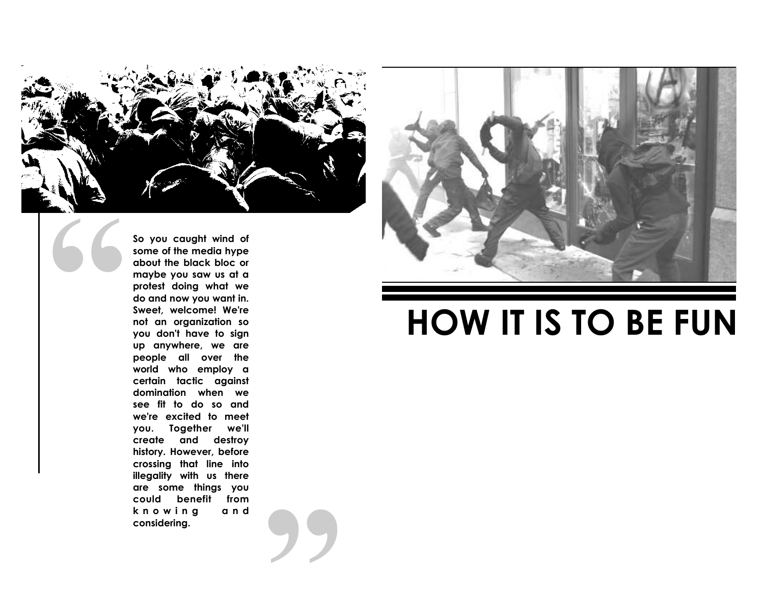

**So you caught wind of some of the media hype about the black bloc or maybe you saw us at a protest doing what we do and now you want in. Sweet, welcome! We're not an organization so you don't have to sign up anywhere, we are people all over the world who employ a certain tactic against domination when we see fit to do so and we're excited to meet you. Together we'll create and destroy history. However, before crossing that line into illegality with us there are some things you could benefit from** a n d **<sup>k</sup> <sup>n</sup> <sup>o</sup> <sup>w</sup> <sup>i</sup> <sup>n</sup> <sup>g</sup> <sup>a</sup> <sup>n</sup> <sup>d</sup> considering.** 



## **HOW IT IS TO BE FUN**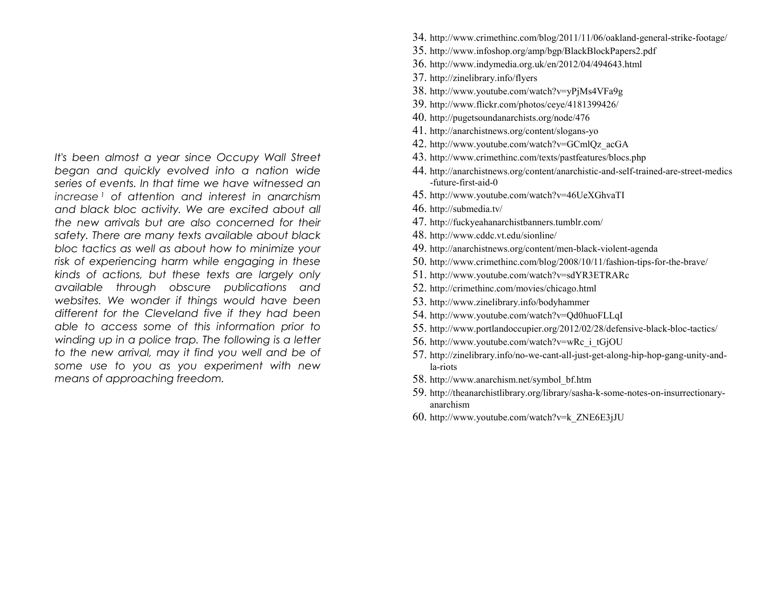*It's been almost a year since Occupy Wall Street began and quickly evolved into a nation wide series of events. In that time we have witnessed an increase <sup>1</sup> of attention and interest in anarchism and black bloc activity. We are excited about all the new arrivals but are also concerned for their safety. There are many texts available about black bloc tactics as well as about how to minimize your risk of experiencing harm while engaging in these kinds of actions, but these texts are largely only available through obscure publications and websites. We wonder if things would have been different for the Cleveland five if they had been able to access some of this information prior to winding up in a police trap. The following is a letter to the new arrival, may it find you well and be of some use to you as you experiment with new means of approaching freedom.* 

- 34. http://www.crimethinc.com/blog/2011/11/06/oakland-general-strike-footage/
- 35. http://www.infoshop.org/amp/bgp/BlackBlockPapers2.pdf
- 36. http://www.indymedia.org.uk/en/2012/04/494643.html
- 37. http://zinelibrary.info/flyers
- 38. http://www.youtube.com/watch?v=yPjMs4VFa9g
- 39. http://www.flickr.com/photos/ceye/4181399426/
- 40. http://pugetsoundanarchists.org/node/476
- 41. http://anarchistnews.org/content/slogans-yo
- 42. http://www.youtube.com/watch?v=GCmlQz\_acGA
- 43. http://www.crimethinc.com/texts/pastfeatures/blocs.php
- 44. http://anarchistnews.org/content/anarchistic-and-self-trained-are-street-medics-future-first-aid-0
- 45. http://www.youtube.com/watch?v=46UeXGhvaTI
- 46. http://submedia.tv/
- 47. http://fuckyeahanarchistbanners.tumblr.com/
- 48. http://www.cddc.vt.edu/sionline/
- 49. http://anarchistnews.org/content/men-black-violent-agenda
- 50. http://www.crimethinc.com/blog/2008/10/11/fashion-tips-for-the-brave/
- 51. http://www.youtube.com/watch?v=sdYR3ETRARc
- 52. http://crimethinc.com/movies/chicago.html
- 53. http://www.zinelibrary.info/bodyhammer
- 54. http://www.youtube.com/watch?v=Qd0huoFLLqI
- 55. http://www.portlandoccupier.org/2012/02/28/defensive-black-bloc-tactics/
- 56. http://www.youtube.com/watch?v=wRc\_i\_tGjOU
- 57. http://zinelibrary.info/no-we-cant-all-just-get-along-hip-hop-gang-unity-andla-riots
- 58. http://www.anarchism.net/symbol\_bf.htm
- 59. http://theanarchistlibrary.org/library/sasha-k-some-notes-on-insurrectionaryanarchism
- 60. http://www.youtube.com/watch?v=k\_ZNE6E3jJU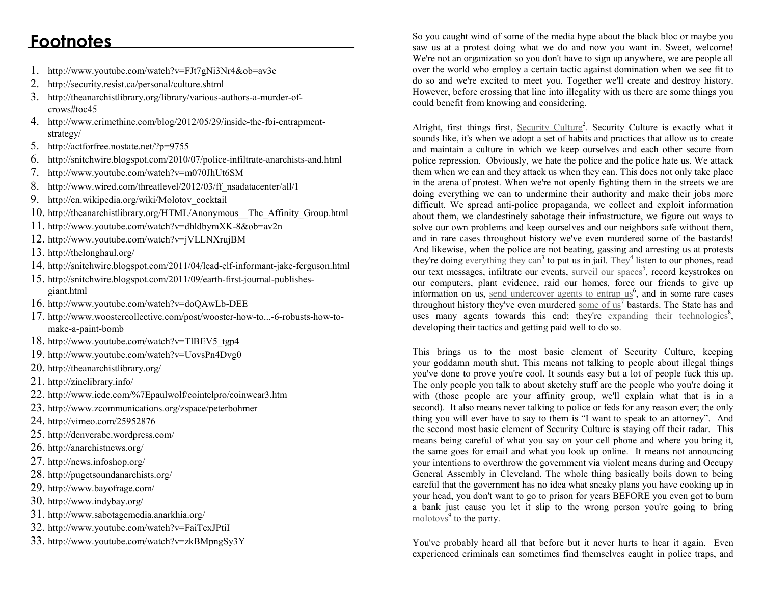- 1. http://www.youtube.com/watch?v=FJt7gNi3Nr4&ob=av3e
- 2. http://security.resist.ca/personal/culture.shtml
- 3. http://theanarchistlibrary.org/library/various-authors-a-murder-ofcrows#toc45
- 4. http://www.crimethinc.com/blog/2012/05/29/inside-the-fbi-entrapmentstrategy/
- 5. http://actforfree.nostate.net/?p=9755
- 6. http://snitchwire.blogspot.com/2010/07/police-infiltrate-anarchists-and.html
- 7. http://www.youtube.com/watch?v=m070JhUt6SM
- 8. http://www.wired.com/threatlevel/2012/03/ff\_nsadatacenter/all/1
- 9. http://en.wikipedia.org/wiki/Molotov\_cocktail
- 10. http://theanarchistlibrary.org/HTML/Anonymous\_\_The\_Affinity\_Group.html
- 11. http://www.youtube.com/watch?v=dhldbymXK-8&ob=av2n
- 12. http://www.youtube.com/watch?v=jVLLNXrujBM
- 13. http://thelonghaul.org/
- 14. http://snitchwire.blogspot.com/2011/04/lead-elf-informant-jake-ferguson.html
- 15. http://snitchwire.blogspot.com/2011/09/earth-first-journal-publishesgiant.html
- 16. http://www.youtube.com/watch?v=doQAwLb-DEE
- 17. http://www.woostercollective.com/post/wooster-how-to...-6-robusts-how-tomake-a-paint-bomb
- 18. http://www.youtube.com/watch?v=TlBEV5\_tgp4
- 19. http://www.youtube.com/watch?v=UovsPn4Dvg0
- 20. http://theanarchistlibrary.org/
- 21. http://zinelibrary.info/
- 22. http://www.icdc.com/%7Epaulwolf/cointelpro/coinwcar3.htm
- 23. http://www.zcommunications.org/zspace/peterbohmer
- 24. http://vimeo.com/25952876
- 25. http://denverabc.wordpress.com/
- 26. http://anarchistnews.org/
- 27. http://news.infoshop.org/
- 28. http://pugetsoundanarchists.org/
- 29. http://www.bayofrage.com/
- 30. http://www.indybay.org/
- 31. http://www.sabotagemedia.anarkhia.org/
- 32. http://www.youtube.com/watch?v=FaiTexJPtiI
- 33. http://www.youtube.com/watch?v=zkBMpngSy3Y

**Footnotes** So you caught wind of some of the media hype about the black bloc or maybe you saw us at a protest doing what we do and now you want in. Sweet, welcome! We're not an organization so you don't have to sign up anywhere, we are people all over the world who employ a certain tactic against domination when we see fit to do so and we're excited to meet you. Together we'll create and destroy history. However, before crossing that line into illegality with us there are some things you could benefit from knowing and considering.

> Alright, first things first,  $Security$  Culture<sup>2</sup>. Security Culture is exactly what it sounds like, it's when we adopt a set of habits and practices that allow us to create and maintain a culture in which we keep ourselves and each other secure from police repression. Obviously, we hate the police and the police hate us. We attack them when we can and they attack us when they can. This does not only take place in the arena of protest. When we're not openly fighting them in the streets we are doing everything we can to undermine their authority and make their jobs more difficult. We spread anti-police propaganda, we collect and exploit information about them, we clandestinely sabotage their infrastructure, we figure out ways to solve our own problems and keep ourselves and our neighbors safe without them, and in rare cases throughout history we've even murdered some of the bastards! And likewise, when the police are not beating, gassing and arresting us at protests they're doing everything they can<sup>3</sup> to put us in jail. They<sup>4</sup> listen to our phones, read our text messages, infiltrate our events, surveil our spaces<sup>5</sup>, record keystrokes on our computers, plant evidence, raid our homes, force our friends to give up information on us, send undercover agents to entrap  $\mathrm{us}^6$ , and in some rare cases throughout history they've even murdered some of  $\text{us}^7$  bastards. The State has and uses many agents towards this end; they're expanding their technologies<sup>8</sup>, developing their tactics and getting paid well to do so.

> This brings us to the most basic element of Security Culture, keeping your goddamn mouth shut. This means not talking to people about illegal things you've done to prove you're cool. It sounds easy but a lot of people fuck this up. The only people you talk to about sketchy stuff are the people who you're doing it with (those people are your affinity group, we'll explain what that is in a second). It also means never talking to police or feds for any reason ever; the only thing you will ever have to say to them is "I want to speak to an attorney". And the second most basic element of Security Culture is staying off their radar. This means being careful of what you say on your cell phone and where you bring it, the same goes for email and what you look up online. It means not announcing your intentions to overthrow the government via violent means during and Occupy General Assembly in Cleveland. The whole thing basically boils down to being careful that the government has no idea what sneaky plans you have cooking up in your head, you don't want to go to prison for years BEFORE you even got to burn a bank just cause you let it slip to the wrong person you're going to bring  $\frac{\text{molotov}_s}{\text{s}}$  to the party.

> You've probably heard all that before but it never hurts to hear it again. Even experienced criminals can sometimes find themselves caught in police traps, and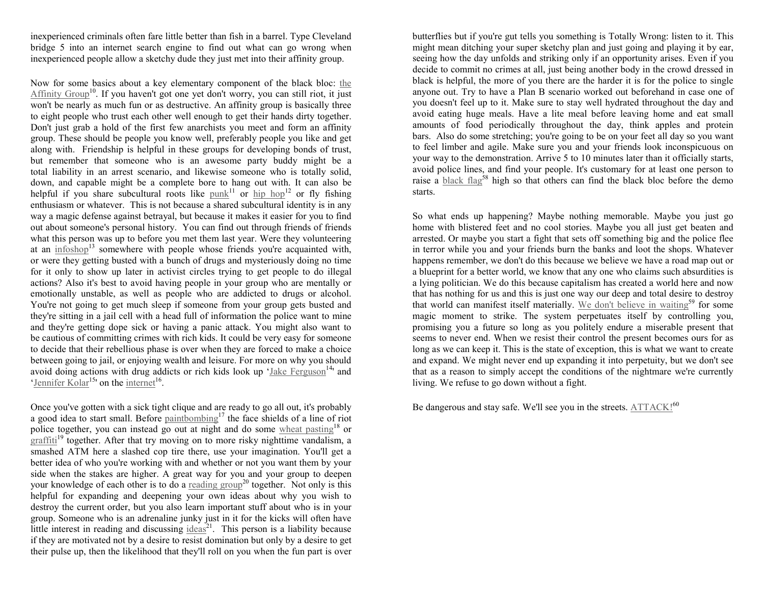inexperienced criminals often fare little better than fish in a barrel. Type Cleveland bridge 5 into an internet search engine to find out what can go wrong when inexperienced people allow a sketchy dude they just met into their affinity group.

Now for some basics about a key elementary component of the black bloc: the  $Affinity Group<sup>10</sup>$ . If you haven't got one yet don't worry, you can still riot, it just won't be nearly as much fun or as destructive. An affinity group is basically three to eight people who trust each other well enough to get their hands dirty together. Don't just grab a hold of the first few anarchists you meet and form an affinity group. These should be people you know well, preferably people you like and get along with. Friendship is helpful in these groups for developing bonds of trust, but remember that someone who is an awesome party buddy might be a total liability in an arrest scenario, and likewise someone who is totally solid, down, and capable might be a complete bore to hang out with. It can also be helpful if you share subcultural roots like  $\text{punk}^{11}$  or  $\text{hip hop}^{12}$  or fly fishing enthusiasm or whatever. This is not because a shared subcultural identity is in any way a magic defense against betrayal, but because it makes it easier for you to find out about someone's personal history. You can find out through friends of friends what this person was up to before you met them last year. Were they volunteering at an  $\text{infoshop}^{13}$  somewhere with people whose friends you're acquainted with, or were they getting busted with a bunch of drugs and mysteriously doing no time for it only to show up later in activist circles trying to get people to do illegal actions? Also it's best to avoid having people in your group who are mentally or emotionally unstable, as well as people who are addicted to drugs or alcohol. You're not going to get much sleep if someone from your group gets busted and they're sitting in a jail cell with a head full of information the police want to mine and they're getting dope sick or having a panic attack. You might also want to be cautious of committing crimes with rich kids. It could be very easy for someone to decide that their rebellious phase is over when they are forced to make a choice between going to jail, or enjoying wealth and leisure. For more on why you should avoid doing actions with drug addicts or rich kids look up ' $Jake$  Ferguson<sup>14</sup>' and 'Jennifer Kolar<sup>15</sup>' on the internet<sup>16</sup>.

Once you've gotten with a sick tight clique and are ready to go all out, it's probably a good idea to start small. Before paintbombing<sup>17</sup> the face shields of a line of riot police together, you can instead go out at night and do some wheat pasting<sup>18</sup> or graffiti<sup>19</sup> together. After that try moving on to more risky nighttime vandalism, a smashed ATM here a slashed cop tire there, use your imagination. You'll get a better idea of who you're working with and whether or not you want them by your side when the stakes are higher. A great way for you and your group to deepen your knowledge of each other is to do a  $\text{reading group}^{20}$  together. Not only is this helpful for expanding and deepening your own ideas about why you wish to destroy the current order, but you also learn important stuff about who is in your group. Someone who is an adrenaline junky just in it for the kicks will often have little interest in reading and discussing  $\frac{ideas^{21}}{2}$ . This person is a liability because if they are motivated not by a desire to resist domination but only by a desire to get their pulse up, then the likelihood that they'll roll on you when the fun part is over butterflies but if you're gut tells you something is Totally Wrong: listen to it. This might mean ditching your super sketchy plan and just going and playing it by ear, seeing how the day unfolds and striking only if an opportunity arises. Even if you decide to commit no crimes at all, just being another body in the crowd dressed in black is helpful, the more of you there are the harder it is for the police to single anyone out. Try to have a Plan B scenario worked out beforehand in case one of you doesn't feel up to it. Make sure to stay well hydrated throughout the day and avoid eating huge meals. Have a lite meal before leaving home and eat small amounts of food periodically throughout the day, think apples and protein bars. Also do some stretching; you're going to be on your feet all day so you want to feel limber and agile. Make sure you and your friends look inconspicuous on your way to the demonstration. Arrive 5 to 10 minutes later than it officially starts, avoid police lines, and find your people. It's customary for at least one person to raise a **black flag<sup>58</sup>** high so that others can find the black bloc before the demo starts.

So what ends up happening? Maybe nothing memorable. Maybe you just go home with blistered feet and no cool stories. Maybe you all just get beaten and arrested. Or maybe you start a fight that sets off something big and the police flee in terror while you and your friends burn the banks and loot the shops. Whatever happens remember, we don't do this because we believe we have a road map out or a blueprint for a better world, we know that any one who claims such absurdities is a lying politician. We do this because capitalism has created a world here and now that has nothing for us and this is just one way our deep and total desire to destroy that world can manifest itself materially. We don't believe in waiting<sup>59</sup> for some magic moment to strike. The system perpetuates itself by controlling you, promising you a future so long as you politely endure a miserable present that seems to never end. When we resist their control the present becomes ours for as long as we can keep it. This is the state of exception, this is what we want to create and expand. We might never end up expanding it into perpetuity, but we don't see that as a reason to simply accept the conditions of the nightmare we're currently living. We refuse to go down without a fight.

Be dangerous and stay safe. We'll see you in the streets.  $ATTACK!^{60}$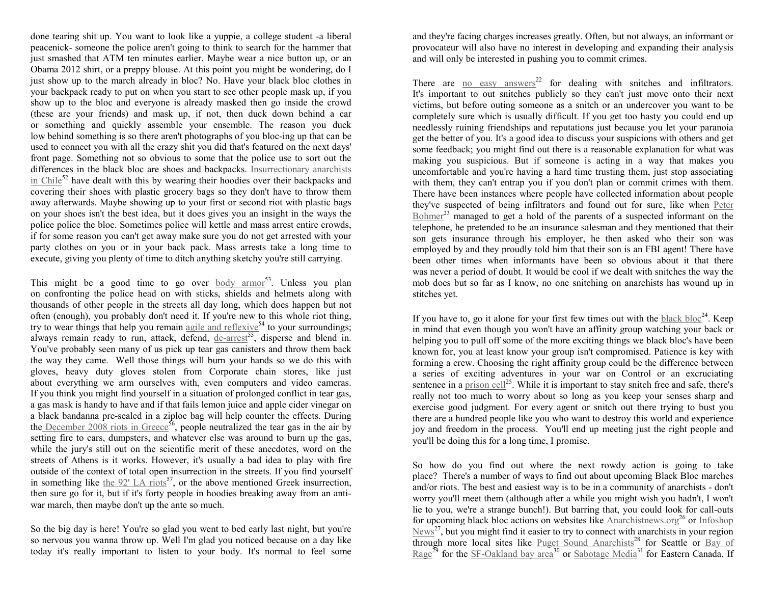done tearing shit up. You want to look like a yuppie, a college student -a liberal peacenick- someone the police aren't going to think to search for the hammer that just smashed that ATM ten minutes earlier. Maybe wear a nice button up, or an Obama 2012 shirt, or a preppy blouse. At this point you might be wondering, do I just show up to the march already in bloc? No. Have your black bloc clothes in your backpack ready to put on when you start to see other people mask up, if you show up to the bloc and everyone is already masked then go inside the crowd (these are your friends) and mask up, if not, then duck down behind a car or something and quickly assemble your ensemble. The reason you duck low behind something is so there aren't photographs of you bloc-ing up that can be used to connect you with all the crazy shit you did that's featured on the next days' front page. Something not so obvious to some that the police use to sort out the differences in the black bloc are shoes and backpacks. Insurrectionary anarchists in Chile<sup>52</sup> have dealt with this by wearing their hoodies over their backpacks and covering their shoes with plastic grocery bags so they don't have to throw them away afterwards. Maybe showing up to your first or second riot with plastic bags on your shoes isn't the best idea, but it does gives you an insight in the ways the police police the bloc. Sometimes police will kettle and mass arrest entire crowds, if for some reason you can't get away make sure you do not get arrested with your party clothes on you or in your back pack. Mass arrests take a long time to execute, giving you plenty of time to ditch anything sketchy you're still carrying.

This might be a good time to go over body armor<sup>53</sup>. Unless you plan on confronting the police head on with sticks, shields and helmets along with thousands of other people in the streets all day long, which does happen but not often (enough), you probably don't need it. If you're new to this whole riot thing, try to wear things that help you remain  $\frac{1}{2}$  and reflexive<sup>54</sup> to your surroundings; always remain ready to run, attack, defend, de-arrest<sup>55</sup>, disperse and blend in. You've probably seen many of us pick up tear gas canisters and throw them back the way they came. Well those things will burn your hands so we do this with gloves, heavy duty gloves stolen from Corporate chain stores, like just about everything we arm ourselves with, even computers and video cameras. If you think you might find yourself in a situation of prolonged conflict in tear gas, a gas mask is handy to have and if that fails lemon juice and apple cider vinegar on a black bandanna pre-sealed in a ziploc bag will help counter the effects. During the December 2008 riots in Greece<sup>56</sup>, people neutralized the tear gas in the air by setting fire to cars, dumpsters, and whatever else was around to burn up the gas, while the jury's still out on the scientific merit of these anecdotes, word on the streets of Athens is it works. However, it's usually a bad idea to play with fire outside of the context of total open insurrection in the streets. If you find yourself in something like the  $92'$  LA riots<sup>57</sup>, or the above mentioned Greek insurrection, then sure go for it, but if it's forty people in hoodies breaking away from an antiwar march, then maybe don't up the ante so much.

So the big day is here! You're so glad you went to bed early last night, but you're so nervous you wanna throw up. Well I'm glad you noticed because on a day like today it's really important to listen to your body. It's normal to feel some and they're facing charges increases greatly. Often, but not always, an informant or provocateur will also have no interest in developing and expanding their analysis and will only be interested in pushing you to commit crimes.

There are no easy answers<sup>22</sup> for dealing with snitches and infiltrators. It's important to out snitches publicly so they can't just move onto their next victims, but before outing someone as a snitch or an undercover you want to be completely sure which is usually difficult. If you get too hasty you could end up needlessly ruining friendships and reputations just because you let your paranoia get the better of you. It's a good idea to discuss your suspicions with others and get some feedback; you might find out there is a reasonable explanation for what was making you suspicious. But if someone is acting in a way that makes you uncomfortable and you're having a hard time trusting them, just stop associating with them, they can't entrap you if you don't plan or commit crimes with them. There have been instances where people have collected information about people they've suspected of being infiltrators and found out for sure, like when Peter  $Bohmer<sup>23</sup>$  managed to get a hold of the parents of a suspected informant on the telephone, he pretended to be an insurance salesman and they mentioned that their son gets insurance through his employer, he then asked who their son was employed by and they proudly told him that their son is an FBI agent! There have been other times when informants have been so obvious about it that there was never a period of doubt. It would be cool if we dealt with snitches the way the mob does but so far as I know, no one snitching on anarchists has wound up in stitches yet.

If you have to, go it alone for your first few times out with the black bloc<sup>24</sup>. Keep in mind that even though you won't have an affinity group watching your back or helping you to pull off some of the more exciting things we black bloc's have been known for, you at least know your group isn't compromised. Patience is key with forming a crew. Choosing the right affinity group could be the difference between a series of exciting adventures in your war on Control or an excruciating sentence in a  $prison$   $cell<sup>25</sup>$ . While it is important to stay snitch free and safe, there's really not too much to worry about so long as you keep your senses sharp and exercise good judgment. For every agent or snitch out there trying to bust you there are a hundred people like you who want to destroy this world and experience joy and freedom in the process. You'll end up meeting just the right people and you'll be doing this for a long time, I promise.

So how do you find out where the next rowdy action is going to take place? There's a number of ways to find out about upcoming Black Bloc marches and/or riots. The best and easiest way is to be in a community of anarchists - don't worry you'll meet them (although after a while you might wish you hadn't, I won't lie to you, we're a strange bunch!). But barring that, you could look for call-outs for upcoming black bloc actions on websites like **Anarchistnews.org**<sup>26</sup> or **Infoshop**  $News^{27}$ , but you might find it easier to try to connect with anarchists in your region through more local sites like  $\frac{Puget}{{\text{Sound}}}$  Anarchists<sup>28</sup> for Seattle or <u>Bay of Rage<sup>29</sup></u> for the <u>SF-Oakland bay area<sup>30</sup> or Sabotage Media</u><sup>31</sup> for Eastern Canada. If